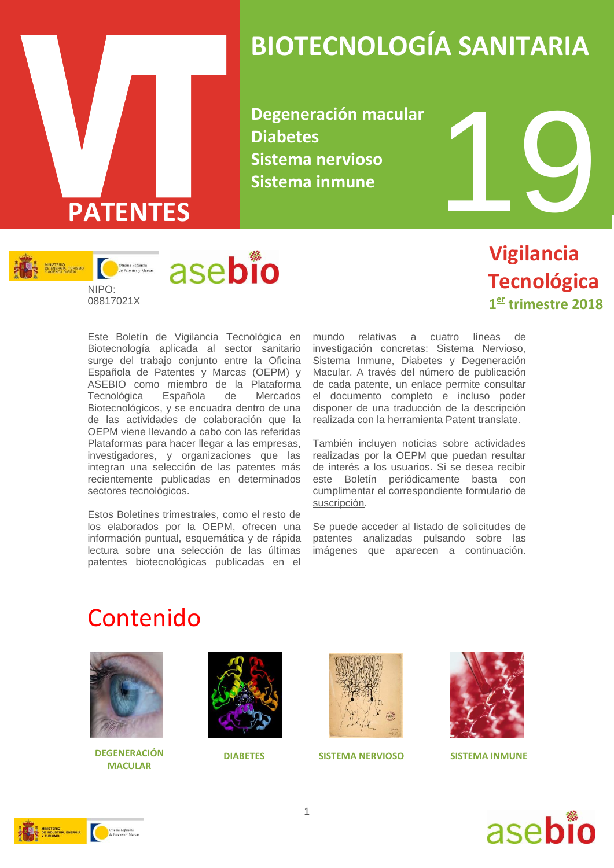

## **BIOTECNOLOGÍA SANITARIA**

**Degeneración macular Diabetes Sistema nervioso Sistema inmune**



 **Vigilancia Tecnológica 1 er trimestre 2018**

Este Boletín de Vigilancia Tecnológica en Biotecnología aplicada al sector sanitario surge del trabajo conjunto entre la Oficina Española de Patentes y Marcas (OEPM) y ASEBIO como miembro de la Plataforma Tecnológica Española de Mercados Biotecnológicos, y se encuadra dentro de una de las actividades de colaboración que la OEPM viene llevando a cabo con las referidas Plataformas para hacer llegar a las empresas, investigadores, y organizaciones que las integran una selección de las patentes más recientemente publicadas en determinados sectores tecnológicos.

Estos Boletines trimestrales, como el resto de los elaborados por la OEPM, ofrecen una información puntual, esquemática y de rápida lectura sobre una selección de las últimas patentes biotecnológicas publicadas en el

mundo relativas a cuatro líneas de investigación concretas: Sistema Nervioso, Sistema Inmune, Diabetes y Degeneración Macular. A través del número de publicación de cada patente, un enlace permite consultar el documento completo e incluso poder disponer de una traducción de la descripción realizada con la herramienta Patent translate.

También incluyen noticias sobre actividades realizadas por la OEPM que puedan resultar de interés a los usuarios. Si se desea recibir este Boletín periódicamente basta con cumplimentar el correspondiente [formulario de](http://www.oepm.es/es/informacion_tecnologica/informacion_gratuita/boletines_de_vigilancia_tecnologica/formulario.html)  [suscripción.](http://www.oepm.es/es/informacion_tecnologica/informacion_gratuita/boletines_de_vigilancia_tecnologica/formulario.html)

Se puede acceder al listado de solicitudes de patentes analizadas pulsando sobre las imágenes que aparecen a continuación.

### Contenido



**DEGENERACIÓN DIABETES SISTEMA NERVIOSO MACULAR**







**SISTEMA INMUNE**



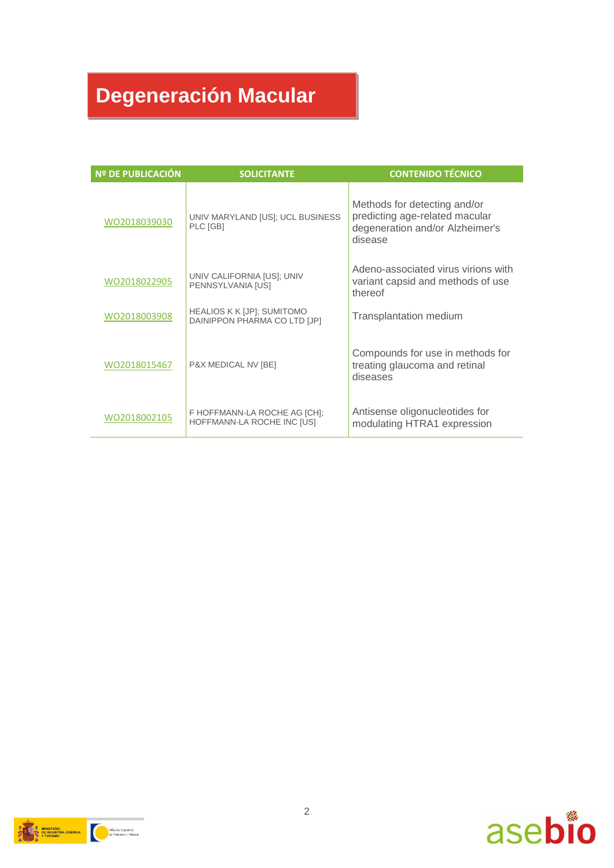### **Degeneración Macular**

| <b>Nº DE PUBLICACIÓN</b> | <b>SOLICITANTE</b>                                         | <b>CONTENIDO TÉCNICO</b>                                                                                     |
|--------------------------|------------------------------------------------------------|--------------------------------------------------------------------------------------------------------------|
| WO2018039030             | UNIV MARYLAND [US]; UCL BUSINESS<br>PLC [GB]               | Methods for detecting and/or<br>predicting age-related macular<br>degeneration and/or Alzheimer's<br>disease |
| WO2018022905             | UNIV CALIFORNIA [US]; UNIV<br>PENNSYLVANIA [US]            | Adeno-associated virus virions with<br>variant capsid and methods of use<br>thereof                          |
| WO2018003908             | HEALIOS K K [JP]; SUMITOMO<br>DAINIPPON PHARMA CO LTD [JP] | Transplantation medium                                                                                       |
| WO2018015467             | P&X MEDICAL NV [BE]                                        | Compounds for use in methods for<br>treating glaucoma and retinal<br>diseases                                |
| WO2018002105             | F HOFFMANN-LA ROCHE AG [CH];<br>HOFFMANN-LA ROCHE INC [US] | Antisense oligonucleotides for<br>modulating HTRA1 expression                                                |



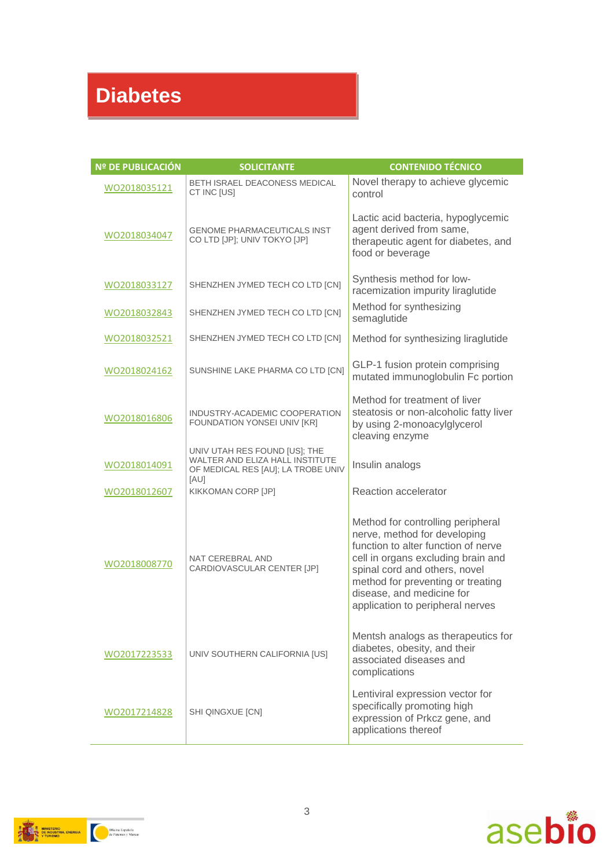### **Diabetes**

| <b>Nº DE PUBLICACIÓN</b> | <b>SOLICITANTE</b>                                                                                             | <b>CONTENIDO TÉCNICO</b>                                                                                                                                                                                                                                                              |
|--------------------------|----------------------------------------------------------------------------------------------------------------|---------------------------------------------------------------------------------------------------------------------------------------------------------------------------------------------------------------------------------------------------------------------------------------|
| WO2018035121             | <b>BETH ISRAEL DEACONESS MEDICAL</b><br>CT INC [US]                                                            | Novel therapy to achieve glycemic<br>control                                                                                                                                                                                                                                          |
| WO2018034047             | <b>GENOME PHARMACEUTICALS INST</b><br>CO LTD [JP]; UNIV TOKYO [JP]                                             | Lactic acid bacteria, hypoglycemic<br>agent derived from same,<br>therapeutic agent for diabetes, and<br>food or beverage                                                                                                                                                             |
| WO2018033127             | SHENZHEN JYMED TECH CO LTD [CN]                                                                                | Synthesis method for low-<br>racemization impurity liraglutide                                                                                                                                                                                                                        |
| WO2018032843             | SHENZHEN JYMED TECH CO LTD [CN]                                                                                | Method for synthesizing<br>semaglutide                                                                                                                                                                                                                                                |
| WO2018032521             | SHENZHEN JYMED TECH CO LTD [CN]                                                                                | Method for synthesizing liraglutide                                                                                                                                                                                                                                                   |
| WO2018024162             | SUNSHINE LAKE PHARMA CO LTD [CN]                                                                               | GLP-1 fusion protein comprising<br>mutated immunoglobulin Fc portion                                                                                                                                                                                                                  |
| WO2018016806             | INDUSTRY-ACADEMIC COOPERATION<br>FOUNDATION YONSEI UNIV [KR]                                                   | Method for treatment of liver<br>steatosis or non-alcoholic fatty liver<br>by using 2-monoacylglycerol<br>cleaving enzyme                                                                                                                                                             |
| WO2018014091             | UNIV UTAH RES FOUND [US]; THE<br>WALTER AND ELIZA HALL INSTITUTE<br>OF MEDICAL RES [AU]; LA TROBE UNIV<br>[AU] | Insulin analogs                                                                                                                                                                                                                                                                       |
| WO2018012607             | KIKKOMAN CORP [JP]                                                                                             | Reaction accelerator                                                                                                                                                                                                                                                                  |
| WO2018008770             | NAT CEREBRAL AND<br>CARDIOVASCULAR CENTER [JP]                                                                 | Method for controlling peripheral<br>nerve, method for developing<br>function to alter function of nerve<br>cell in organs excluding brain and<br>spinal cord and others, novel<br>method for preventing or treating<br>disease, and medicine for<br>application to peripheral nerves |
| WO2017223533             | UNIV SOUTHERN CALIFORNIA [US]                                                                                  | Mentsh analogs as therapeutics for<br>diabetes, obesity, and their<br>associated diseases and<br>complications                                                                                                                                                                        |
| WO2017214828             | SHI QINGXUE [CN]                                                                                               | Lentiviral expression vector for<br>specifically promoting high<br>expression of Prkcz gene, and<br>applications thereof                                                                                                                                                              |



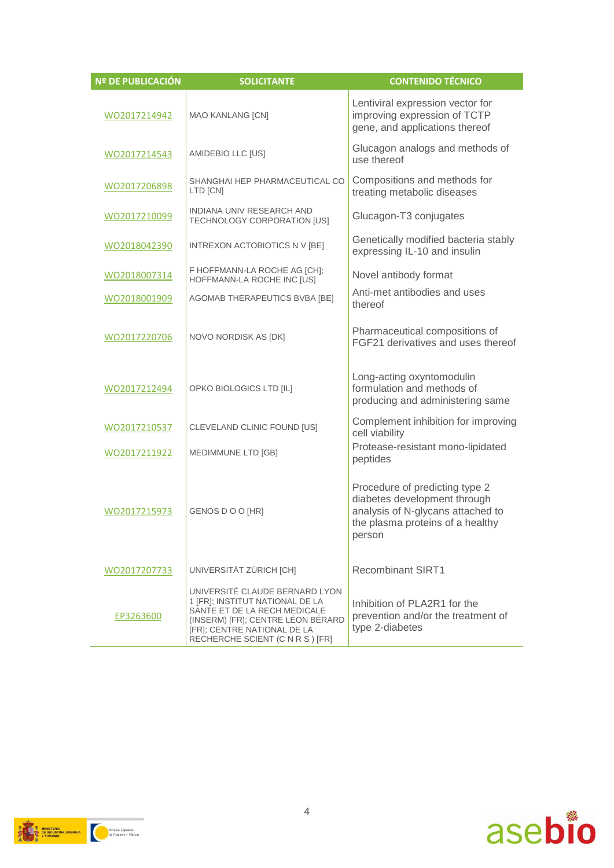| Nº DE PUBLICACIÓN | <b>SOLICITANTE</b>                                                                                                                                                                                        | <b>CONTENIDO TÉCNICO</b>                                                                                                                          |
|-------------------|-----------------------------------------------------------------------------------------------------------------------------------------------------------------------------------------------------------|---------------------------------------------------------------------------------------------------------------------------------------------------|
| WO2017214942      | <b>MAO KANLANG [CN]</b>                                                                                                                                                                                   | Lentiviral expression vector for<br>improving expression of TCTP<br>gene, and applications thereof                                                |
| WO2017214543      | AMIDEBIO LLC [US]                                                                                                                                                                                         | Glucagon analogs and methods of<br>use thereof                                                                                                    |
| WO2017206898      | SHANGHAI HEP PHARMACEUTICAL CO<br>LTD [CN]                                                                                                                                                                | Compositions and methods for<br>treating metabolic diseases                                                                                       |
| WO2017210099      | INDIANA UNIV RESEARCH AND<br>TECHNOLOGY CORPORATION [US]                                                                                                                                                  | Glucagon-T3 conjugates                                                                                                                            |
| WO2018042390      | INTREXON ACTOBIOTICS N V [BE]                                                                                                                                                                             | Genetically modified bacteria stably<br>expressing IL-10 and insulin                                                                              |
| WO2018007314      | F HOFFMANN-LA ROCHE AG [CH];<br>HOFFMANN-LA ROCHE INC [US]                                                                                                                                                | Novel antibody format                                                                                                                             |
| WO2018001909      | AGOMAB THERAPEUTICS BVBA [BE]                                                                                                                                                                             | Anti-met antibodies and uses<br>thereof                                                                                                           |
| WO2017220706      | NOVO NORDISK AS [DK]                                                                                                                                                                                      | Pharmaceutical compositions of<br>FGF21 derivatives and uses thereof                                                                              |
| WO2017212494      | OPKO BIOLOGICS LTD [IL]                                                                                                                                                                                   | Long-acting oxyntomodulin<br>formulation and methods of<br>producing and administering same                                                       |
| WO2017210537      | CLEVELAND CLINIC FOUND [US]                                                                                                                                                                               | Complement inhibition for improving<br>cell viability                                                                                             |
| WO2017211922      | MEDIMMUNE LTD [GB]                                                                                                                                                                                        | Protease-resistant mono-lipidated<br>peptides                                                                                                     |
| WO2017215973      | GENOS DO O [HR]                                                                                                                                                                                           | Procedure of predicting type 2<br>diabetes development through<br>analysis of N-glycans attached to<br>the plasma proteins of a healthy<br>person |
| WO2017207733      | UNIVERSITÄT ZÜRICH [CH]                                                                                                                                                                                   | <b>Recombinant SIRT1</b>                                                                                                                          |
| EP3263600         | UNIVERSITÉ CLAUDE BERNARD LYON<br>1 [FR]; INSTITUT NATIONAL DE LA<br>SANTE ET DE LA RECH MEDICALE<br>(INSERM) [FR]; CENTRE LÉON BÉRARD<br>[FR]; CENTRE NATIONAL DE LA<br>RECHERCHE SCIENT (C N R S ) [FR] | Inhibition of PLA2R1 for the<br>prevention and/or the treatment of<br>type 2-diabetes                                                             |

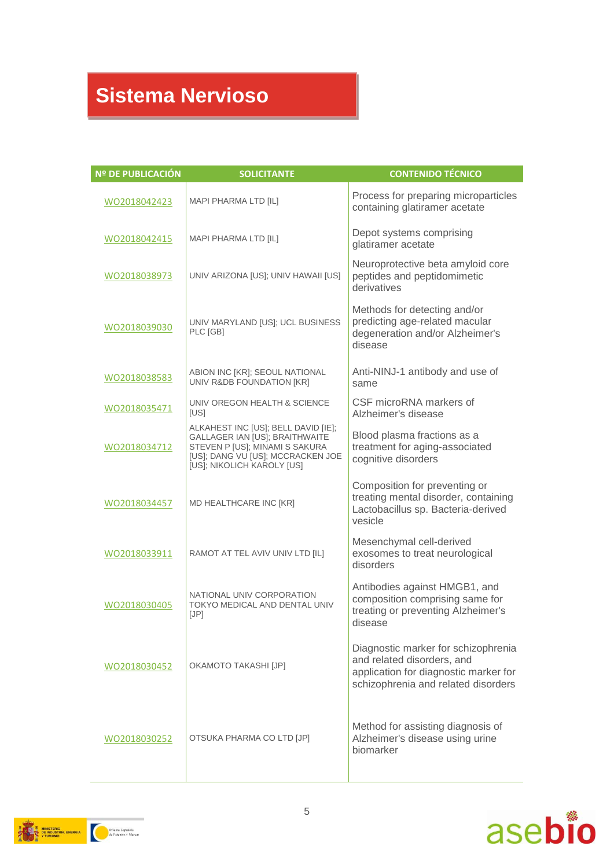### **Sistema Nervioso**

| <b>Nº DE PUBLICACIÓN</b> | <b>SOLICITANTE</b>                                                                                                                                                         | <b>CONTENIDO TÉCNICO</b>                                                                                                                          |
|--------------------------|----------------------------------------------------------------------------------------------------------------------------------------------------------------------------|---------------------------------------------------------------------------------------------------------------------------------------------------|
| WO2018042423             | MAPI PHARMA LTD [IL]                                                                                                                                                       | Process for preparing microparticles<br>containing glatiramer acetate                                                                             |
| WO2018042415             | MAPI PHARMA LTD [IL]                                                                                                                                                       | Depot systems comprising<br>glatiramer acetate                                                                                                    |
| WO2018038973             | UNIV ARIZONA [US]; UNIV HAWAII [US]                                                                                                                                        | Neuroprotective beta amyloid core<br>peptides and peptidomimetic<br>derivatives                                                                   |
| WO2018039030             | UNIV MARYLAND [US]; UCL BUSINESS<br>PLC [GB]                                                                                                                               | Methods for detecting and/or<br>predicting age-related macular<br>degeneration and/or Alzheimer's<br>disease                                      |
| WO2018038583             | ABION INC [KR]; SEOUL NATIONAL<br>UNIV R&DB FOUNDATION [KR]                                                                                                                | Anti-NINJ-1 antibody and use of<br>same                                                                                                           |
| WO2018035471             | UNIV OREGON HEALTH & SCIENCE<br>[US]                                                                                                                                       | CSF microRNA markers of<br>Alzheimer's disease                                                                                                    |
| WO2018034712             | ALKAHEST INC [US]; BELL DAVID [IE];<br>GALLAGER IAN [US]; BRAITHWAITE<br>STEVEN P [US]; MINAMI S SAKURA<br>[US]; DANG VU [US]; MCCRACKEN JOE<br>[US]; NIKOLICH KAROLY [US] | Blood plasma fractions as a<br>treatment for aging-associated<br>cognitive disorders                                                              |
| WO2018034457             | MD HEALTHCARE INC [KR]                                                                                                                                                     | Composition for preventing or<br>treating mental disorder, containing<br>Lactobacillus sp. Bacteria-derived<br>vesicle                            |
| WO2018033911             | RAMOT AT TEL AVIV UNIV LTD [IL]                                                                                                                                            | Mesenchymal cell-derived<br>exosomes to treat neurological<br>disorders                                                                           |
| WO2018030405             | NATIONAL UNIV CORPORATION<br>TOKYO MEDICAL AND DENTAL UNIV<br>[JP]                                                                                                         | Antibodies against HMGB1, and<br>composition comprising same for<br>treating or preventing Alzheimer's<br>disease                                 |
| WO2018030452             | <b>OKAMOTO TAKASHI [JP]</b>                                                                                                                                                | Diagnostic marker for schizophrenia<br>and related disorders, and<br>application for diagnostic marker for<br>schizophrenia and related disorders |
| WO2018030252             | OTSUKA PHARMA CO LTD [JP]                                                                                                                                                  | Method for assisting diagnosis of<br>Alzheimer's disease using urine<br>biomarker                                                                 |



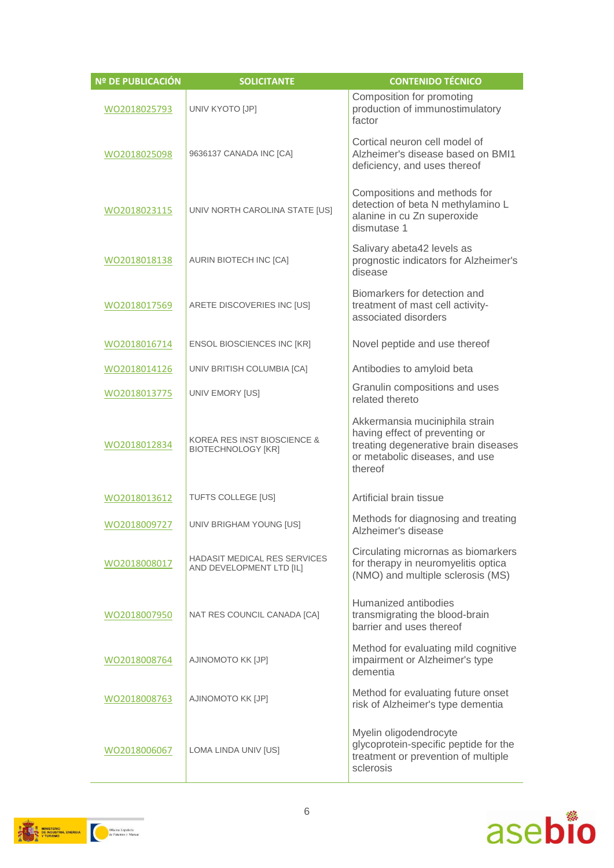| Nº DE PUBLICACIÓN | <b>SOLICITANTE</b>                                                  | <b>CONTENIDO TÉCNICO</b>                                                                                                                              |
|-------------------|---------------------------------------------------------------------|-------------------------------------------------------------------------------------------------------------------------------------------------------|
| WO2018025793      | UNIV KYOTO [JP]                                                     | Composition for promoting<br>production of immunostimulatory<br>factor                                                                                |
| WO2018025098      | 9636137 CANADA INC [CA]                                             | Cortical neuron cell model of<br>Alzheimer's disease based on BMI1<br>deficiency, and uses thereof                                                    |
| WO2018023115      | UNIV NORTH CAROLINA STATE [US]                                      | Compositions and methods for<br>detection of beta N methylamino L<br>alanine in cu Zn superoxide<br>dismutase 1                                       |
| WO2018018138      | AURIN BIOTECH INC [CA]                                              | Salivary abeta42 levels as<br>prognostic indicators for Alzheimer's<br>disease                                                                        |
| WO2018017569      | ARETE DISCOVERIES INC [US]                                          | Biomarkers for detection and<br>treatment of mast cell activity-<br>associated disorders                                                              |
| WO2018016714      | <b>ENSOL BIOSCIENCES INC [KR]</b>                                   | Novel peptide and use thereof                                                                                                                         |
| WO2018014126      | UNIV BRITISH COLUMBIA [CA]                                          | Antibodies to amyloid beta                                                                                                                            |
| WO2018013775      | UNIV EMORY [US]                                                     | Granulin compositions and uses<br>related thereto                                                                                                     |
| WO2018012834      | <b>KOREA RES INST BIOSCIENCE &amp;</b><br><b>BIOTECHNOLOGY [KR]</b> | Akkermansia muciniphila strain<br>having effect of preventing or<br>treating degenerative brain diseases<br>or metabolic diseases, and use<br>thereof |
| WO2018013612      | TUFTS COLLEGE [US]                                                  | Artificial brain tissue                                                                                                                               |
| WO2018009727      | UNIV BRIGHAM YOUNG [US]                                             | Methods for diagnosing and treating<br>Alzheimer's disease                                                                                            |
| WO2018008017      | <b>HADASIT MEDICAL RES SERVICES</b><br>AND DEVELOPMENT LTD [IL]     | Circulating micrornas as biomarkers<br>for therapy in neuromyelitis optica<br>(NMO) and multiple sclerosis (MS)                                       |
| WO2018007950      | NAT RES COUNCIL CANADA [CA]                                         | Humanized antibodies<br>transmigrating the blood-brain<br>barrier and uses thereof                                                                    |
| WO2018008764      | AJINOMOTO KK [JP]                                                   | Method for evaluating mild cognitive<br>impairment or Alzheimer's type<br>dementia                                                                    |
| WO2018008763      | AJINOMOTO KK [JP]                                                   | Method for evaluating future onset<br>risk of Alzheimer's type dementia                                                                               |
| WO2018006067      | LOMA LINDA UNIV [US]                                                | Myelin oligodendrocyte<br>glycoprotein-specific peptide for the<br>treatment or prevention of multiple<br>sclerosis                                   |





6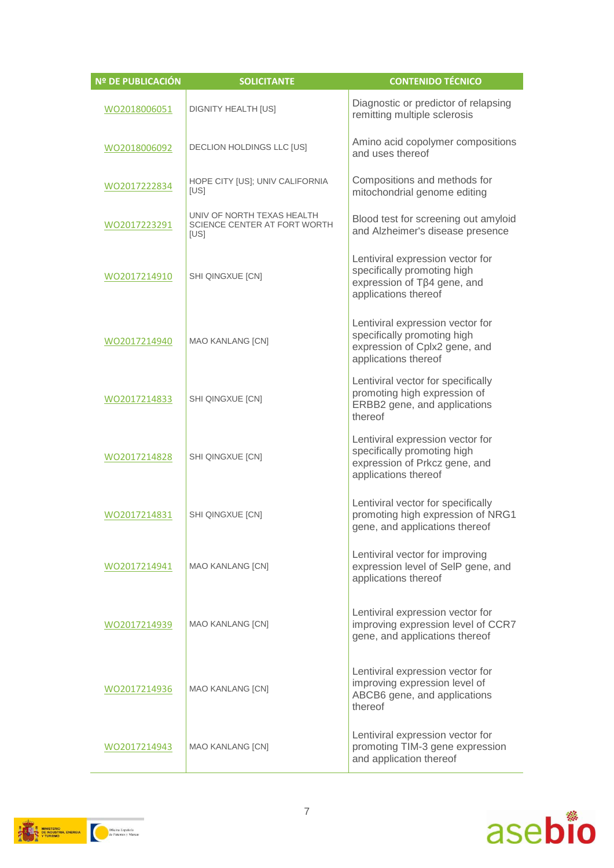| <b>Nº DE PUBLICACIÓN</b> | <b>SOLICITANTE</b>                                                 | <b>CONTENIDO TÉCNICO</b>                                                                                                 |
|--------------------------|--------------------------------------------------------------------|--------------------------------------------------------------------------------------------------------------------------|
| WO2018006051             | DIGNITY HEALTH [US]                                                | Diagnostic or predictor of relapsing<br>remitting multiple sclerosis                                                     |
| WO2018006092             | <b>DECLION HOLDINGS LLC [US]</b>                                   | Amino acid copolymer compositions<br>and uses thereof                                                                    |
| WO2017222834             | HOPE CITY [US]; UNIV CALIFORNIA<br>[US]                            | Compositions and methods for<br>mitochondrial genome editing                                                             |
| WO2017223291             | UNIV OF NORTH TEXAS HEALTH<br>SCIENCE CENTER AT FORT WORTH<br>[US] | Blood test for screening out amyloid<br>and Alzheimer's disease presence                                                 |
| WO2017214910             | SHI QINGXUE [CN]                                                   | Lentiviral expression vector for<br>specifically promoting high<br>expression of Tβ4 gene, and<br>applications thereof   |
| WO2017214940             | <b>MAO KANLANG [CN]</b>                                            | Lentiviral expression vector for<br>specifically promoting high<br>expression of Cplx2 gene, and<br>applications thereof |
| WO2017214833             | SHI QINGXUE [CN]                                                   | Lentiviral vector for specifically<br>promoting high expression of<br>ERBB2 gene, and applications<br>thereof            |
| WO2017214828             | SHI QINGXUE [CN]                                                   | Lentiviral expression vector for<br>specifically promoting high<br>expression of Prkcz gene, and<br>applications thereof |
| WO2017214831             | SHI QINGXUE [CN]                                                   | Lentiviral vector for specifically<br>promoting high expression of NRG1<br>gene, and applications thereof                |
| WO2017214941             | MAO KANLANG [CN]                                                   | Lentiviral vector for improving<br>expression level of SelP gene, and<br>applications thereof                            |
| WO2017214939             | <b>MAO KANLANG [CN]</b>                                            | Lentiviral expression vector for<br>improving expression level of CCR7<br>gene, and applications thereof                 |
| WO2017214936             | MAO KANLANG [CN]                                                   | Lentiviral expression vector for<br>improving expression level of<br>ABCB6 gene, and applications<br>thereof             |
| WO2017214943             | <b>MAO KANLANG [CN]</b>                                            | Lentiviral expression vector for<br>promoting TIM-3 gene expression<br>and application thereof                           |



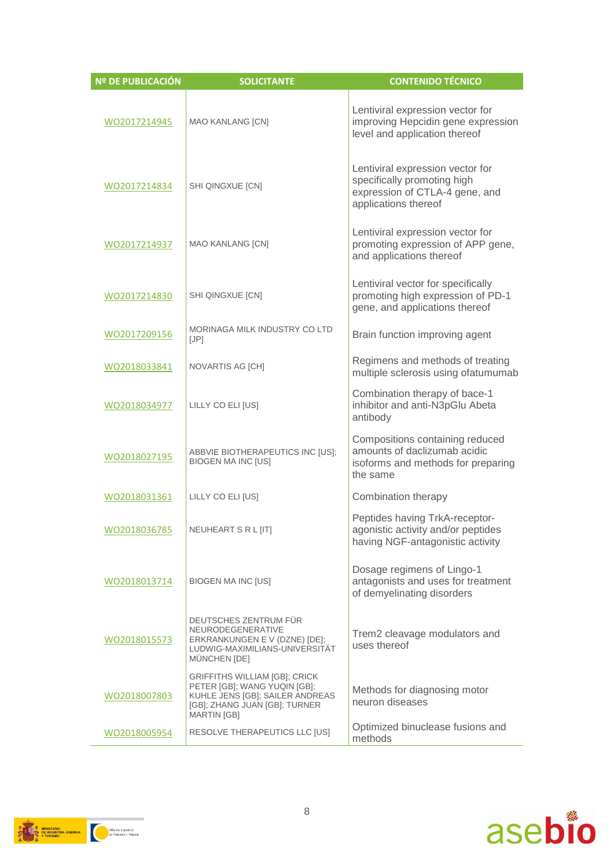| <b>Nº DE PUBLICACIÓN</b> | <b>SOLICITANTE</b>                                                                                                                                             | <b>CONTENIDO TÉCNICO</b>                                                                                                  |
|--------------------------|----------------------------------------------------------------------------------------------------------------------------------------------------------------|---------------------------------------------------------------------------------------------------------------------------|
| WO2017214945             | <b>MAO KANLANG [CN]</b>                                                                                                                                        | Lentiviral expression vector for<br>improving Hepcidin gene expression<br>level and application thereof                   |
| WO2017214834             | SHI QINGXUE [CN]                                                                                                                                               | Lentiviral expression vector for<br>specifically promoting high<br>expression of CTLA-4 gene, and<br>applications thereof |
| WO2017214937             | <b>MAO KANLANG [CN]</b>                                                                                                                                        | Lentiviral expression vector for<br>promoting expression of APP gene,<br>and applications thereof                         |
| WO2017214830             | SHI QINGXUE [CN]                                                                                                                                               | Lentiviral vector for specifically<br>promoting high expression of PD-1<br>gene, and applications thereof                 |
| WO2017209156             | <b>MORINAGA MILK INDUSTRY CO LTD</b><br>[JP]                                                                                                                   | Brain function improving agent                                                                                            |
| WO2018033841             | NOVARTIS AG [CH]                                                                                                                                               | Regimens and methods of treating<br>multiple sclerosis using ofatumumab                                                   |
| WO2018034977             | LILLY CO ELI [US]                                                                                                                                              | Combination therapy of bace-1<br>inhibitor and anti-N3pGlu Abeta<br>antibody                                              |
| WO2018027195             | ABBVIE BIOTHERAPEUTICS INC [US];<br><b>BIOGEN MA INC [US]</b>                                                                                                  | Compositions containing reduced<br>amounts of daclizumab acidic<br>isoforms and methods for preparing<br>the same         |
| WO2018031361             | LILLY CO ELI [US]                                                                                                                                              | Combination therapy                                                                                                       |
| WO2018036785             | NEUHEART S R L [IT]                                                                                                                                            | Peptides having TrkA-receptor-<br>agonistic activity and/or peptides<br>having NGF-antagonistic activity                  |
| WO2018013714             | <b>BIOGEN MA INC [US]</b>                                                                                                                                      | Dosage regimens of Lingo-1<br>antagonists and uses for treatment<br>of demyelinating disorders                            |
| WO2018015573             | DEUTSCHES ZENTRUM FÜR<br>NEURODEGENERATIVE<br>ERKRANKUNGEN E V (DZNE) [DE];<br>LUDWIG-MAXIMILIANS-UNIVERSITÄT<br>MÜNCHEN [DE]                                  | Trem2 cleavage modulators and<br>uses thereof                                                                             |
| WO2018007803             | <b>GRIFFITHS WILLIAM [GB]; CRICK</b><br>PETER [GB]; WANG YUQIN [GB];<br>KUHLE JENS [GB]; SAILER ANDREAS<br>[GB]; ZHANG JUAN [GB]; TURNER<br><b>MARTIN [GB]</b> | Methods for diagnosing motor<br>neuron diseases                                                                           |
| WO2018005954             | RESOLVE THERAPEUTICS LLC [US]                                                                                                                                  | Optimized binuclease fusions and<br>methods                                                                               |



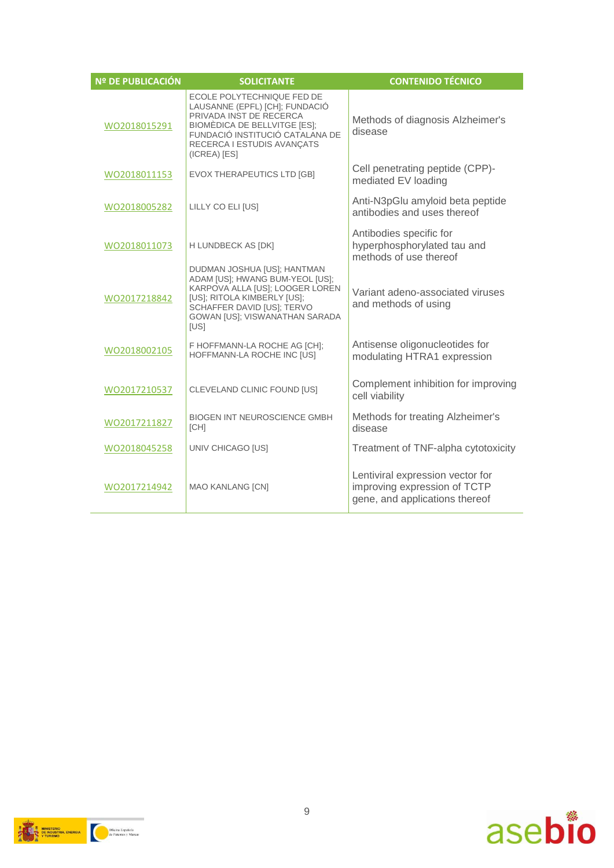| <b>Nº DE PUBLICACIÓN</b> | <b>SOLICITANTE</b>                                                                                                                                                                                              | <b>CONTENIDO TÉCNICO</b>                                                                           |
|--------------------------|-----------------------------------------------------------------------------------------------------------------------------------------------------------------------------------------------------------------|----------------------------------------------------------------------------------------------------|
| WO2018015291             | ECOLE POLYTECHNIQUE FED DE<br>LAUSANNE (EPFL) [CH]; FUNDACIÓ<br>PRIVADA INST DE RECERCA<br><b>BIOMÈDICA DE BELLVITGE [ES]:</b><br>FUNDACIÓ INSTITUCIÓ CATALANA DE<br>RECERCA I ESTUDIS AVANÇATS<br>(ICREA) [ES] | Methods of diagnosis Alzheimer's<br>disease                                                        |
| WO2018011153             | EVOX THERAPEUTICS LTD [GB]                                                                                                                                                                                      | Cell penetrating peptide (CPP)-<br>mediated EV loading                                             |
| WO2018005282             | LILLY CO ELI [US]                                                                                                                                                                                               | Anti-N3pGlu amyloid beta peptide<br>antibodies and uses thereof                                    |
| WO2018011073             | H LUNDBECK AS [DK]                                                                                                                                                                                              | Antibodies specific for<br>hyperphosphorylated tau and<br>methods of use thereof                   |
| WO2017218842             | DUDMAN JOSHUA [US]: HANTMAN<br>ADAM [US]; HWANG BUM-YEOL [US];<br>KARPOVA ALLA [US]; LOOGER LOREN<br>[US]; RITOLA KIMBERLY [US];<br>SCHAFFER DAVID [US]; TERVO<br>GOWAN [US]; VISWANATHAN SARADA<br>[US]        | Variant adeno-associated viruses<br>and methods of using                                           |
| WO2018002105             | F HOFFMANN-LA ROCHE AG [CH];<br>HOFFMANN-LA ROCHE INC [US]                                                                                                                                                      | Antisense oligonucleotides for<br>modulating HTRA1 expression                                      |
| WO2017210537             | CLEVELAND CLINIC FOUND [US]                                                                                                                                                                                     | Complement inhibition for improving<br>cell viability                                              |
| WO2017211827             | <b>BIOGEN INT NEUROSCIENCE GMBH</b><br>[CH]                                                                                                                                                                     | Methods for treating Alzheimer's<br>disease                                                        |
| WO2018045258             | <b>UNIV CHICAGO [US]</b>                                                                                                                                                                                        | Treatment of TNF-alpha cytotoxicity                                                                |
| WO2017214942             | <b>MAO KANLANG [CN]</b>                                                                                                                                                                                         | Lentiviral expression vector for<br>improving expression of TCTP<br>gene, and applications thereof |



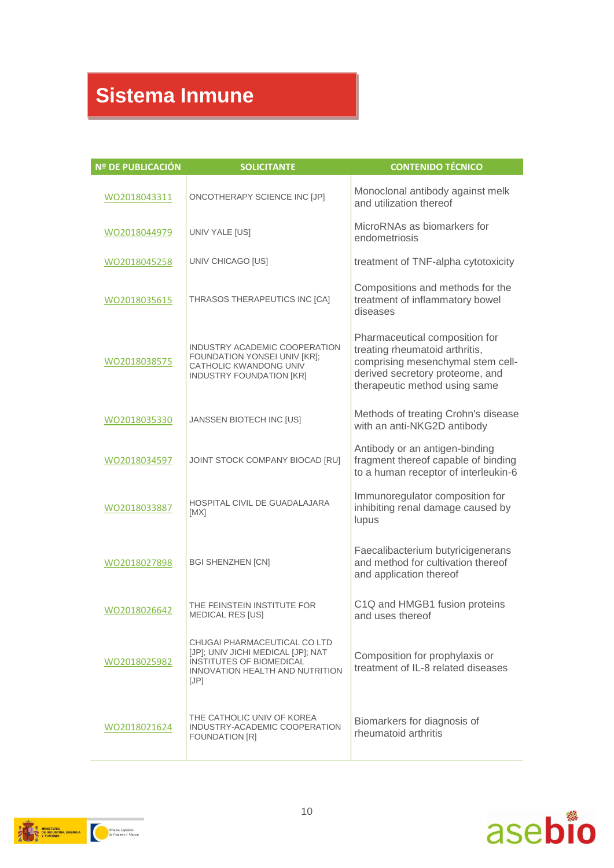### **Sistema Inmune**

| Nº DE PUBLICACIÓN | <b>SOLICITANTE</b>                                                                                                                               | <b>CONTENIDO TÉCNICO</b>                                                                                                                                                  |
|-------------------|--------------------------------------------------------------------------------------------------------------------------------------------------|---------------------------------------------------------------------------------------------------------------------------------------------------------------------------|
| WO2018043311      | ONCOTHERAPY SCIENCE INC [JP]                                                                                                                     | Monoclonal antibody against melk<br>and utilization thereof                                                                                                               |
| WO2018044979      | UNIV YALE [US]                                                                                                                                   | MicroRNAs as biomarkers for<br>endometriosis                                                                                                                              |
| WO2018045258      | UNIV CHICAGO [US]                                                                                                                                | treatment of TNF-alpha cytotoxicity                                                                                                                                       |
| WO2018035615      | THRASOS THERAPEUTICS INC [CA]                                                                                                                    | Compositions and methods for the<br>treatment of inflammatory bowel<br>diseases                                                                                           |
| WO2018038575      | INDUSTRY ACADEMIC COOPERATION<br>FOUNDATION YONSEI UNIV [KR];<br>CATHOLIC KWANDONG UNIV<br>INDUSTRY FOUNDATION [KR]                              | Pharmaceutical composition for<br>treating rheumatoid arthritis,<br>comprising mesenchymal stem cell-<br>derived secretory proteome, and<br>therapeutic method using same |
| WO2018035330      | JANSSEN BIOTECH INC [US]                                                                                                                         | Methods of treating Crohn's disease<br>with an anti-NKG2D antibody                                                                                                        |
| WO2018034597      | JOINT STOCK COMPANY BIOCAD [RU]                                                                                                                  | Antibody or an antigen-binding<br>fragment thereof capable of binding<br>to a human receptor of interleukin-6                                                             |
| WO2018033887      | HOSPITAL CIVIL DE GUADALAJARA<br>[MX]                                                                                                            | Immunoregulator composition for<br>inhibiting renal damage caused by<br>lupus                                                                                             |
| WO2018027898      | <b>BGI SHENZHEN [CN]</b>                                                                                                                         | Faecalibacterium butyricigenerans<br>and method for cultivation thereof<br>and application thereof                                                                        |
| WO2018026642      | THE FEINSTEIN INSTITUTE FOR<br><b>MEDICAL RES [US]</b>                                                                                           | C1Q and HMGB1 fusion proteins<br>and uses thereof                                                                                                                         |
| WO2018025982      | CHUGAI PHARMACEUTICAL CO LTD<br>[JP]; UNIV JICHI MEDICAL [JP]; NAT<br>INSTITUTES OF BIOMEDICAL<br><b>INNOVATION HEALTH AND NUTRITION</b><br>[JP] | Composition for prophylaxis or<br>treatment of IL-8 related diseases                                                                                                      |
| WO2018021624      | THE CATHOLIC UNIV OF KOREA<br>INDUSTRY-ACADEMIC COOPERATION<br><b>FOUNDATION [R]</b>                                                             | Biomarkers for diagnosis of<br>rheumatoid arthritis                                                                                                                       |



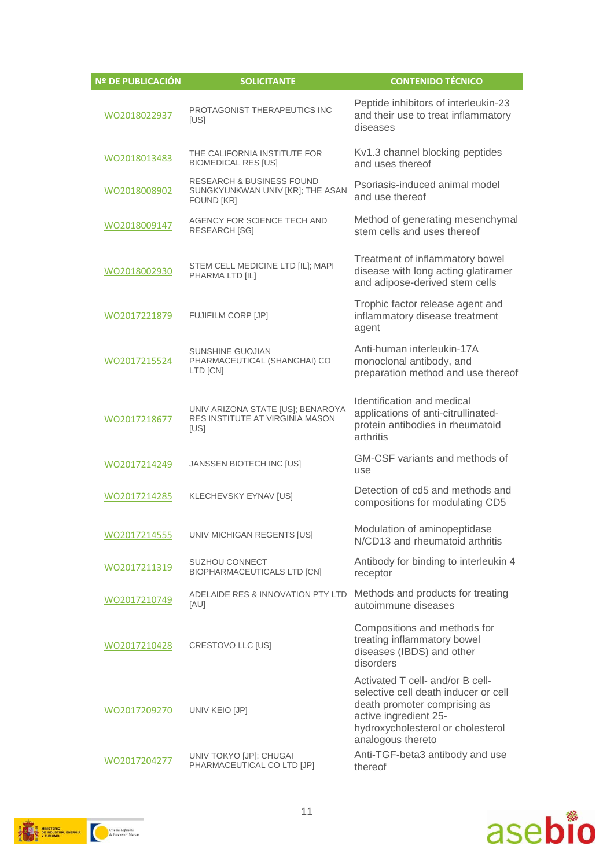| <b>Nº DE PUBLICACIÓN</b> | <b>SOLICITANTE</b>                                                                            | <b>CONTENIDO TÉCNICO</b>                                                                                                                                                                    |
|--------------------------|-----------------------------------------------------------------------------------------------|---------------------------------------------------------------------------------------------------------------------------------------------------------------------------------------------|
| WO2018022937             | PROTAGONIST THERAPEUTICS INC<br>[US]                                                          | Peptide inhibitors of interleukin-23<br>and their use to treat inflammatory<br>diseases                                                                                                     |
| WO2018013483             | THE CALIFORNIA INSTITUTE FOR<br><b>BIOMEDICAL RES [US]</b>                                    | Kv1.3 channel blocking peptides<br>and uses thereof                                                                                                                                         |
| WO2018008902             | <b>RESEARCH &amp; BUSINESS FOUND</b><br>SUNGKYUNKWAN UNIV [KR]; THE ASAN<br><b>FOUND [KR]</b> | Psoriasis-induced animal model<br>and use thereof                                                                                                                                           |
| WO2018009147             | AGENCY FOR SCIENCE TECH AND<br><b>RESEARCH [SG]</b>                                           | Method of generating mesenchymal<br>stem cells and uses thereof                                                                                                                             |
| WO2018002930             | STEM CELL MEDICINE LTD [IL]; MAPI<br>PHARMA LTD [IL]                                          | Treatment of inflammatory bowel<br>disease with long acting glatiramer<br>and adipose-derived stem cells                                                                                    |
| WO2017221879             | <b>FUJIFILM CORP [JP]</b>                                                                     | Trophic factor release agent and<br>inflammatory disease treatment<br>agent                                                                                                                 |
| WO2017215524             | <b>SUNSHINE GUOJIAN</b><br>PHARMACEUTICAL (SHANGHAI) CO<br>LTD [CN]                           | Anti-human interleukin-17A<br>monoclonal antibody, and<br>preparation method and use thereof                                                                                                |
| WO2017218677             | UNIV ARIZONA STATE [US]; BENAROYA<br>RES INSTITUTE AT VIRGINIA MASON<br>[US]                  | Identification and medical<br>applications of anti-citrullinated-<br>protein antibodies in rheumatoid<br>arthritis                                                                          |
| WO2017214249             | JANSSEN BIOTECH INC [US]                                                                      | GM-CSF variants and methods of<br>use                                                                                                                                                       |
| WO2017214285             | KLECHEVSKY EYNAV [US]                                                                         | Detection of cd5 and methods and<br>compositions for modulating CD5                                                                                                                         |
| WO2017214555             | UNIV MICHIGAN REGENTS [US]                                                                    | Modulation of aminopeptidase<br>N/CD13 and rheumatoid arthritis                                                                                                                             |
| WO2017211319             | <b>SUZHOU CONNECT</b><br>BIOPHARMACEUTICALS LTD [CN]                                          | Antibody for binding to interleukin 4<br>receptor                                                                                                                                           |
| WO2017210749             | ADELAIDE RES & INNOVATION PTY LTD<br>[AU]                                                     | Methods and products for treating<br>autoimmune diseases                                                                                                                                    |
| WO2017210428             | CRESTOVO LLC [US]                                                                             | Compositions and methods for<br>treating inflammatory bowel<br>diseases (IBDS) and other<br>disorders                                                                                       |
| WO2017209270             | UNIV KEIO [JP]                                                                                | Activated T cell- and/or B cell-<br>selective cell death inducer or cell<br>death promoter comprising as<br>active ingredient 25-<br>hydroxycholesterol or cholesterol<br>analogous thereto |
| WO2017204277             | UNIV TOKYO [JP]; CHUGAI<br>PHARMACEUTICAL CO LTD [JP]                                         | Anti-TGF-beta3 antibody and use<br>thereof                                                                                                                                                  |



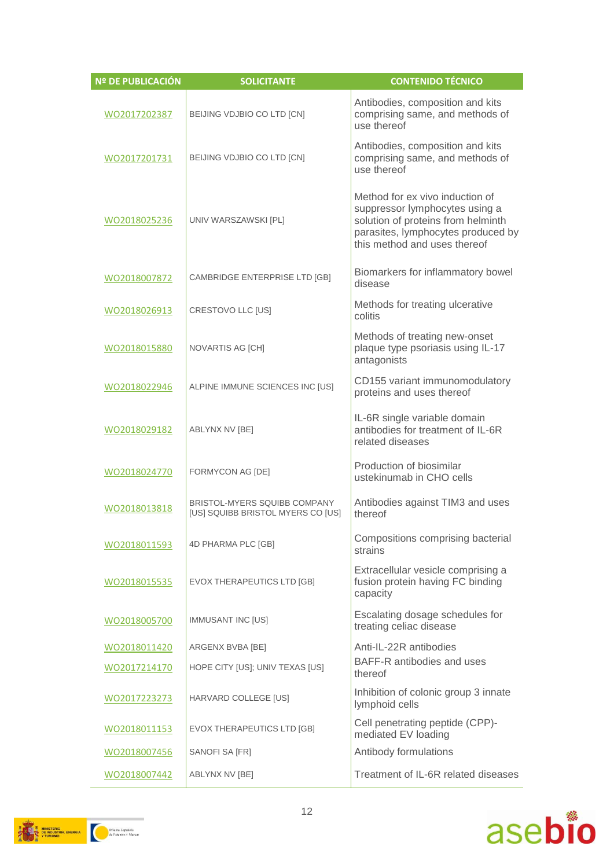| Nº DE PUBLICACIÓN | <b>SOLICITANTE</b>                                                       | <b>CONTENIDO TÉCNICO</b>                                                                                                                                                      |
|-------------------|--------------------------------------------------------------------------|-------------------------------------------------------------------------------------------------------------------------------------------------------------------------------|
| WO2017202387      | BEIJING VDJBIO CO LTD [CN]                                               | Antibodies, composition and kits<br>comprising same, and methods of<br>use thereof                                                                                            |
| WO2017201731      | BEIJING VDJBIO CO LTD [CN]                                               | Antibodies, composition and kits<br>comprising same, and methods of<br>use thereof                                                                                            |
| WO2018025236      | UNIV WARSZAWSKI [PL]                                                     | Method for ex vivo induction of<br>suppressor lymphocytes using a<br>solution of proteins from helminth<br>parasites, lymphocytes produced by<br>this method and uses thereof |
| WO2018007872      | CAMBRIDGE ENTERPRISE LTD [GB]                                            | Biomarkers for inflammatory bowel<br>disease                                                                                                                                  |
| WO2018026913      | CRESTOVO LLC [US]                                                        | Methods for treating ulcerative<br>colitis                                                                                                                                    |
| WO2018015880      | NOVARTIS AG [CH]                                                         | Methods of treating new-onset<br>plaque type psoriasis using IL-17<br>antagonists                                                                                             |
| WO2018022946      | ALPINE IMMUNE SCIENCES INC [US]                                          | CD155 variant immunomodulatory<br>proteins and uses thereof                                                                                                                   |
| WO2018029182      | ABLYNX NV [BE]                                                           | IL-6R single variable domain<br>antibodies for treatment of IL-6R<br>related diseases                                                                                         |
| WO2018024770      | FORMYCON AG [DE]                                                         | Production of biosimilar<br>ustekinumab in CHO cells                                                                                                                          |
| WO2018013818      | <b>BRISTOL-MYERS SQUIBB COMPANY</b><br>[US] SQUIBB BRISTOL MYERS CO [US] | Antibodies against TIM3 and uses<br>thereof                                                                                                                                   |
| WO2018011593      | 4D PHARMA PLC [GB]                                                       | Compositions comprising bacterial<br>strains                                                                                                                                  |
| WO2018015535      | EVOX THERAPEUTICS LTD [GB]                                               | Extracellular vesicle comprising a<br>fusion protein having FC binding<br>capacity                                                                                            |
| WO2018005700      | IMMUSANT INC [US]                                                        | Escalating dosage schedules for<br>treating celiac disease                                                                                                                    |
| WO2018011420      | ARGENX BVBA [BE]                                                         | Anti-IL-22R antibodies                                                                                                                                                        |
| WO2017214170      | HOPE CITY [US]; UNIV TEXAS [US]                                          | BAFF-R antibodies and uses<br>thereof                                                                                                                                         |
| WO2017223273      | HARVARD COLLEGE [US]                                                     | Inhibition of colonic group 3 innate<br>lymphoid cells                                                                                                                        |
| WO2018011153      | EVOX THERAPEUTICS LTD [GB]                                               | Cell penetrating peptide (CPP)-<br>mediated EV loading                                                                                                                        |
| WO2018007456      | SANOFI SA [FR]                                                           | Antibody formulations                                                                                                                                                         |
| WO2018007442      | ABLYNX NV [BE]                                                           | Treatment of IL-6R related diseases                                                                                                                                           |



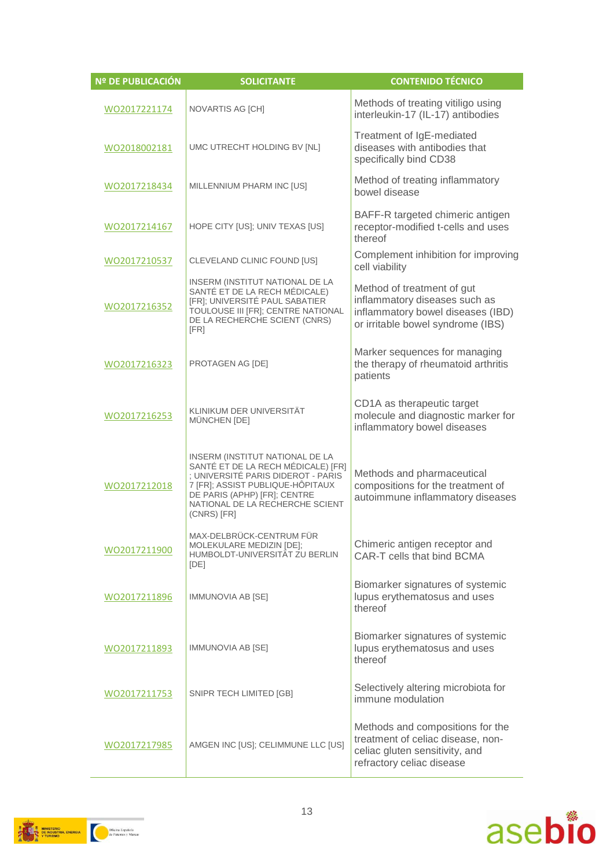| Nº DE PUBLICACIÓN | <b>SOLICITANTE</b>                                                                                                                                                                                                                | <b>CONTENIDO TÉCNICO</b>                                                                                                              |
|-------------------|-----------------------------------------------------------------------------------------------------------------------------------------------------------------------------------------------------------------------------------|---------------------------------------------------------------------------------------------------------------------------------------|
| WO2017221174      | <b>NOVARTIS AG [CH]</b>                                                                                                                                                                                                           | Methods of treating vitiligo using<br>interleukin-17 (IL-17) antibodies                                                               |
| WO2018002181      | UMC UTRECHT HOLDING BV [NL]                                                                                                                                                                                                       | Treatment of IgE-mediated<br>diseases with antibodies that<br>specifically bind CD38                                                  |
| WO2017218434      | MILLENNIUM PHARM INC [US]                                                                                                                                                                                                         | Method of treating inflammatory<br>bowel disease                                                                                      |
| WO2017214167      | HOPE CITY [US]; UNIV TEXAS [US]                                                                                                                                                                                                   | BAFF-R targeted chimeric antigen<br>receptor-modified t-cells and uses<br>thereof                                                     |
| WO2017210537      | CLEVELAND CLINIC FOUND [US]                                                                                                                                                                                                       | Complement inhibition for improving<br>cell viability                                                                                 |
| WO2017216352      | INSERM (INSTITUT NATIONAL DE LA<br>SANTÉ ET DE LA RECH MÉDICALE)<br>[FR]; UNIVERSITÉ PAUL SABATIER<br>TOULOUSE III [FR]; CENTRE NATIONAL<br>DE LA RECHERCHE SCIENT (CNRS)<br>[FR]                                                 | Method of treatment of gut<br>inflammatory diseases such as<br>inflammatory bowel diseases (IBD)<br>or irritable bowel syndrome (IBS) |
| WO2017216323      | PROTAGEN AG [DE]                                                                                                                                                                                                                  | Marker sequences for managing<br>the therapy of rheumatoid arthritis<br>patients                                                      |
| WO2017216253      | KLINIKUM DER UNIVERSITÄT<br>MÜNCHEN [DE]                                                                                                                                                                                          | CD1A as therapeutic target<br>molecule and diagnostic marker for<br>inflammatory bowel diseases                                       |
| WO2017212018      | INSERM (INSTITUT NATIONAL DE LA<br>SANTÉ ET DE LA RECH MÉDICALE) [FR]<br>; UNIVERSITÉ PARIS DIDEROT - PARIS<br>7 [FR]; ASSIST PUBLIQUE-HÔPITAUX<br>DE PARIS (APHP) [FR]; CENTRE<br>NATIONAL DE LA RECHERCHE SCIENT<br>(CNRS) [FR] | Methods and pharmaceutical<br>compositions for the treatment of<br>autoimmune inflammatory diseases                                   |
| WO2017211900      | MAX-DELBRÜCK-CENTRUM FÜR<br>MOLEKULARE MEDIZIN [DE];<br>HUMBOLDT-UNIVERSITÄT ZU BERLIN<br>[DE]                                                                                                                                    | Chimeric antigen receptor and<br>CAR-T cells that bind BCMA                                                                           |
| WO2017211896      | IMMUNOVIA AB [SE]                                                                                                                                                                                                                 | Biomarker signatures of systemic<br>lupus erythematosus and uses<br>thereof                                                           |
| WO2017211893      | IMMUNOVIA AB [SE]                                                                                                                                                                                                                 | Biomarker signatures of systemic<br>lupus erythematosus and uses<br>thereof                                                           |
| WO2017211753      | SNIPR TECH LIMITED [GB]                                                                                                                                                                                                           | Selectively altering microbiota for<br>immune modulation                                                                              |
| WO2017217985      | AMGEN INC [US]; CELIMMUNE LLC [US]                                                                                                                                                                                                | Methods and compositions for the<br>treatment of celiac disease, non-<br>celiac gluten sensitivity, and<br>refractory celiac disease  |



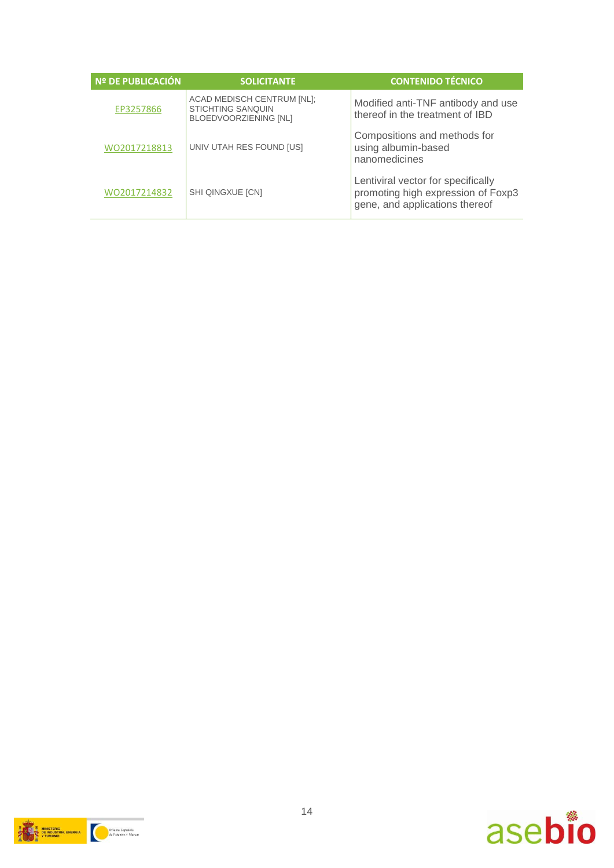| Nº DE PUBLICACIÓN | <b>SOLICITANTE</b>                                                                     | <b>CONTENIDO TÉCNICO</b>                                                                                   |
|-------------------|----------------------------------------------------------------------------------------|------------------------------------------------------------------------------------------------------------|
| EP3257866         | ACAD MEDISCH CENTRUM [NL];<br><b>STICHTING SANQUIN</b><br><b>BLOEDVOORZIENING [NL]</b> | Modified anti-TNF antibody and use<br>thereof in the treatment of IBD                                      |
| WO2017218813      | UNIV UTAH RES FOUND [US]                                                               | Compositions and methods for<br>using albumin-based<br>nanomedicines                                       |
| WO2017214832      | <b>SHI QINGXUE [CN]</b>                                                                | Lentiviral vector for specifically<br>promoting high expression of Foxp3<br>gene, and applications thereof |



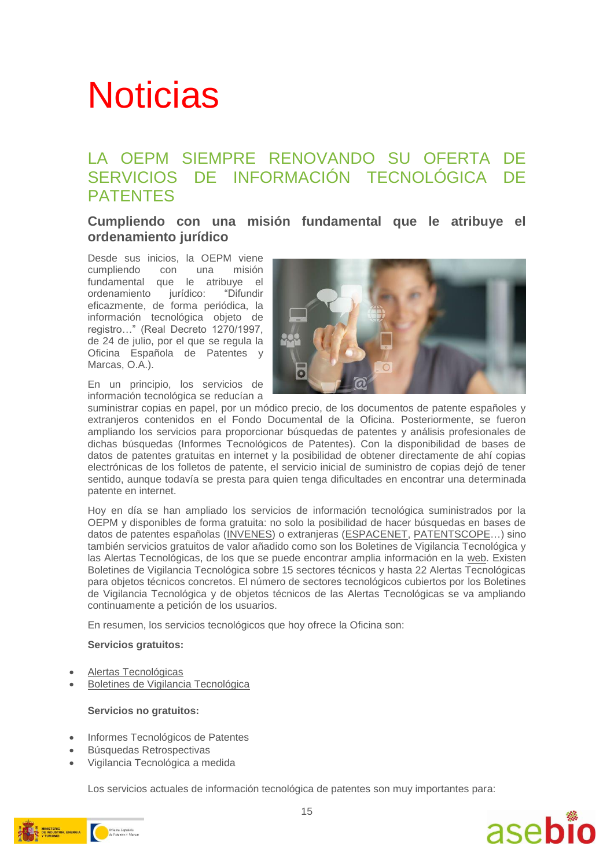# **Noticias**

#### LA OEPM SIEMPRE RENOVANDO SU OFERTA DE SERVICIOS DE INFORMACIÓN TECNOLÓGICA DE PATENTES

#### **Cumpliendo con una misión fundamental que le atribuye el ordenamiento jurídico**

Desde sus inicios, la OEPM viene cumpliendo con una misión fundamental que le atribuye el ordenamiento jurídico: "Difundir eficazmente, de forma periódica, la información tecnológica objeto de registro…" (Real Decreto 1270/1997, de 24 de julio, por el que se regula la Oficina Española de Patentes y Marcas, O.A.).



En un principio, los servicios de información tecnológica se reducían a

suministrar copias en papel, por un módico precio, de los documentos de patente españoles y extranjeros contenidos en el Fondo Documental de la Oficina. Posteriormente, se fueron ampliando los servicios para proporcionar búsquedas de patentes y análisis profesionales de dichas búsquedas (Informes Tecnológicos de Patentes). Con la disponibilidad de bases de datos de patentes gratuitas en internet y la posibilidad de obtener directamente de ahí copias electrónicas de los folletos de patente, el servicio inicial de suministro de copias dejó de tener sentido, aunque todavía se presta para quien tenga dificultades en encontrar una determinada patente en internet.

Hoy en día se han ampliado los servicios de información tecnológica suministrados por la OEPM y disponibles de forma gratuita: no solo la posibilidad de hacer búsquedas en bases de datos de patentes españolas [\(INVENES\)](http://consultas2.oepm.es/InvenesWeb/faces/busquedaInternet.jsp;jsessionid=pftmDoNer4GPephDWkqu05E5.Consultas2) o extranjeras [\(ESPACENET,](https://worldwide.espacenet.com/) [PATENTSCOPE…](https://patentscope.wipo.int/search/es/search.jsf)) sino también servicios gratuitos de valor añadido como son los Boletines de Vigilancia Tecnológica y las Alertas Tecnológicas, de los que se puede encontrar amplia información en la [web.](http://www.oepm.es/es/informacion_tecnologica/index.html) Existen Boletines de Vigilancia Tecnológica sobre 15 sectores técnicos y hasta 22 Alertas Tecnológicas para objetos técnicos concretos. El número de sectores tecnológicos cubiertos por los Boletines de Vigilancia Tecnológica y de objetos técnicos de las Alertas Tecnológicas se va ampliando continuamente a petición de los usuarios.

En resumen, los servicios tecnológicos que hoy ofrece la Oficina son:

#### **Servicios gratuitos:**

- [Alertas Tecnológicas](http://www.oepm.es/es/informacion_tecnologica/informacion_gratuita/Alertas_Tecnologicas/index.html)
- [Boletines de Vigilancia Tecnológica](http://www.oepm.es/es/informacion_tecnologica/informacion_gratuita/boletines_de_vigilancia_tecnologica/index.html)

#### **Servicios no gratuitos:**

- Informes Tecnológicos de Patentes
- Búsquedas Retrospectivas
- Vigilancia Tecnológica a medida

Los servicios actuales de información tecnológica de patentes son muy importantes para:



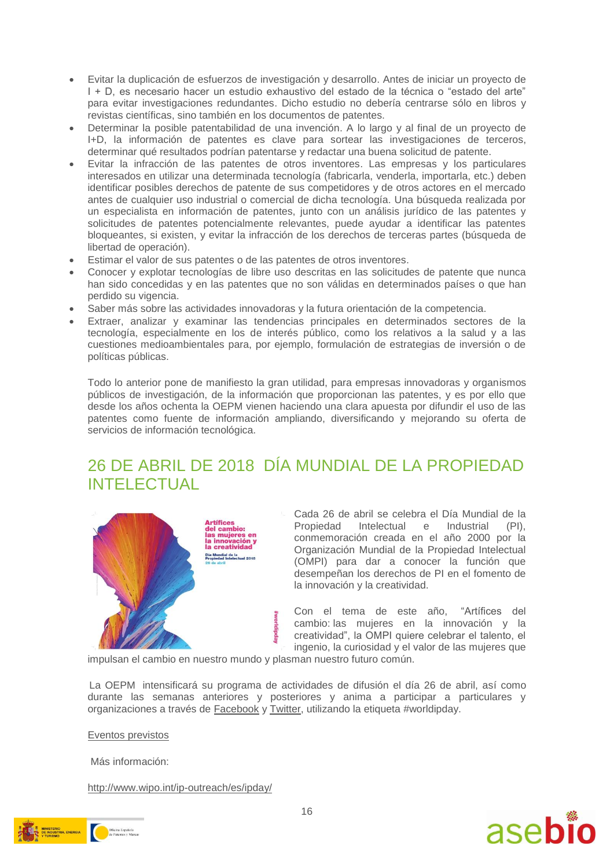- Evitar la duplicación de esfuerzos de investigación y desarrollo. Antes de iniciar un proyecto de I + D, es necesario hacer un estudio exhaustivo del estado de la técnica o "estado del arte" para evitar investigaciones redundantes. Dicho estudio no debería centrarse sólo en libros y revistas científicas, sino también en los documentos de patentes.
- Determinar la posible patentabilidad de una invención. A lo largo y al final de un proyecto de I+D, la información de patentes es clave para sortear las investigaciones de terceros, determinar qué resultados podrían patentarse y redactar una buena solicitud de patente.
- Evitar la infracción de las patentes de otros inventores. Las empresas y los particulares interesados en utilizar una determinada tecnología (fabricarla, venderla, importarla, etc.) deben identificar posibles derechos de patente de sus competidores y de otros actores en el mercado antes de cualquier uso industrial o comercial de dicha tecnología. Una búsqueda realizada por un especialista en información de patentes, junto con un análisis jurídico de las patentes y solicitudes de patentes potencialmente relevantes, puede ayudar a identificar las patentes bloqueantes, si existen, y evitar la infracción de los derechos de terceras partes (búsqueda de libertad de operación).
- Estimar el valor de sus patentes o de las patentes de otros inventores.
- Conocer y explotar tecnologías de libre uso descritas en las solicitudes de patente que nunca han sido concedidas y en las patentes que no son válidas en determinados países o que han perdido su vigencia.
- Saber más sobre las actividades innovadoras y la futura orientación de la competencia.
- Extraer, analizar y examinar las tendencias principales en determinados sectores de la tecnología, especialmente en los de interés público, como los relativos a la salud y a las cuestiones medioambientales para, por ejemplo, formulación de estrategias de inversión o de políticas públicas.

Todo lo anterior pone de manifiesto la gran utilidad, para empresas innovadoras y organismos públicos de investigación, de la información que proporcionan las patentes, y es por ello que desde los años ochenta la OEPM vienen haciendo una clara apuesta por difundir el uso de las patentes como fuente de información ampliando, diversificando y mejorando su oferta de servicios de información tecnológica.

### 26 DE ABRIL DE 2018 DÍA MUNDIAL DE LA PROPIEDAD INTELECTUAL



Arunces<br>del cambio:<br>las mujeres en<br>la innovación y<br>la creatividad Dia Mundial de la<br>Propiedad Intelectual 2018

Cada 26 de abril se celebra el Día Mundial de la<br>Propiedad Intelectual e Industrial (PI), Propiedad Intelectual e Industrial conmemoración creada en el año 2000 por la Organización Mundial de la Propiedad Intelectual (OMPI) para dar a conocer la función que desempeñan los derechos de PI en el fomento de la innovación y la creatividad.

Con el tema de este año, "Artífices del cambio: las mujeres en la innovación y la creatividad", la OMPI quiere celebrar el talento, el ingenio, la curiosidad y el valor de las mujeres que

impulsan el cambio en nuestro mundo y plasman nuestro futuro común.

La OEPM intensificará su programa de actividades de difusión el día 26 de abril, así como durante las semanas anteriores y posteriores y anima a participar a particulares y organizaciones a través de [Facebook](https://www.facebook.com/oepm.es/) y [Twitter,](https://twitter.com/OEPM_es) utilizando la etiqueta #worldipday.

[Eventos previstos](http://www.oepm.es/export/sites/oepm/comun/documentos_relacionados/Noticias/2018/2018_04_10_Eventos_previstos_IPDay.pdf)

Más información:

<http://www.wipo.int/ip-outreach/es/ipday/>



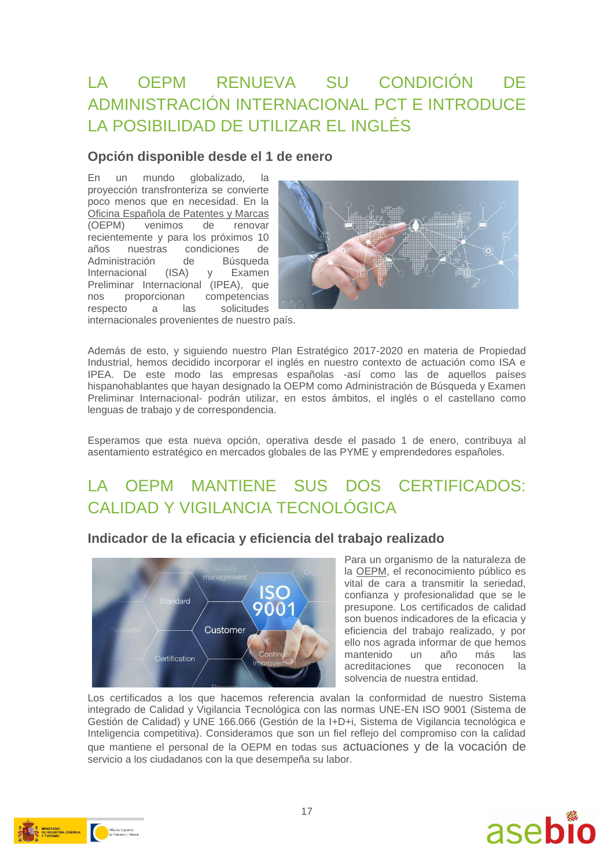### LA OEPM RENUEVA SU CONDICIÓN DE ADMINISTRACIÓN INTERNACIONAL PCT E INTRODUCE LA POSIBILIDAD DE UTILIZAR EL INGLÉS

#### **Opción disponible desde el 1 de enero**

En un mundo globalizado, la proyección transfronteriza se convierte poco menos que en necesidad. En la [Oficina Española de Patentes y Marcas](http://www.oepm.es/es/index.html) [\(OEPM\)](http://www.oepm.es/es/index.html) venimos de renovar recientemente y para los próximos 10 años nuestras condiciones de Administración de Búsqueda Internacional (ISA) y Examen Preliminar Internacional (IPEA), que nos proporcionan competencias respecto a las solicitudes internacionales provenientes de nuestro país.



Además de esto, y siguiendo nuestro Plan Estratégico 2017-2020 en materia de Propiedad Industrial, hemos decidido incorporar el inglés en nuestro contexto de actuación como ISA e IPEA. De este modo las empresas españolas -así como las de aquellos países hispanohablantes que hayan designado la OEPM como Administración de Búsqueda y Examen Preliminar Internacional- podrán utilizar, en estos ámbitos, el inglés o el castellano como lenguas de trabajo y de correspondencia.

Esperamos que esta nueva opción, operativa desde el pasado 1 de enero, contribuya al asentamiento estratégico en mercados globales de las PYME y emprendedores españoles.

### LA OEPM MANTIENE SUS DOS CERTIFICADOS: CALIDAD Y VIGILANCIA TECNOLÓGICA



**Indicador de la eficacia y eficiencia del trabajo realizado**

Para un organismo de la naturaleza de la [OEPM,](http://www.oepm.es/es/index.html) el reconocimiento público es vital de cara a transmitir la seriedad, confianza y profesionalidad que se le presupone. Los certificados de calidad son buenos indicadores de la eficacia y eficiencia del trabajo realizado, y por ello nos agrada informar de que hemos mantenido un año más las acreditaciones que reconocen la solvencia de nuestra entidad.

Los certificados a los que hacemos referencia avalan la conformidad de nuestro Sistema integrado de Calidad y Vigilancia Tecnológica con las normas UNE-EN ISO 9001 (Sistema de Gestión de Calidad) y UNE 166.066 (Gestión de la I+D+i, Sistema de Vigilancia tecnológica e Inteligencia competitiva). Consideramos que son un fiel reflejo del compromiso con la calidad que mantiene el personal de la OEPM en todas sus actuaciones y de la vocación de servicio a los ciudadanos con la que desempeña su labor.